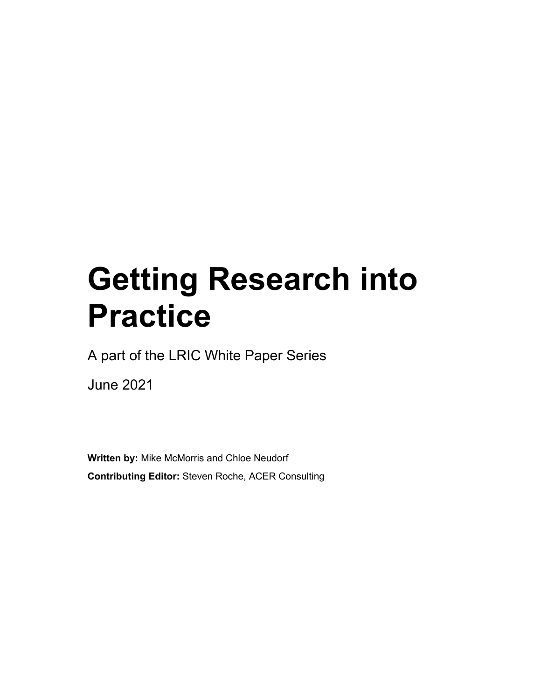# **Getting Research into Practice**

A part of the LRIC White Paper Series

June 2021

**Written by:** Mike McMorris and Chloe Neudorf **Contributing Editor:** Steven Roche, ACER Consulting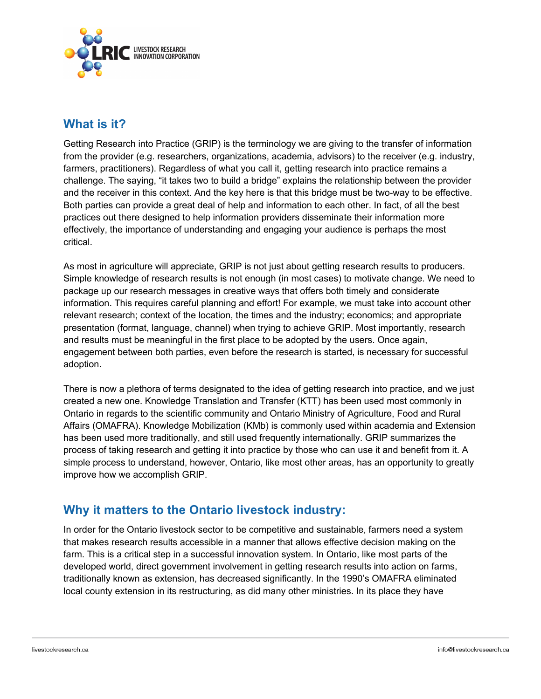

## **What is it?**

Getting Research into Practice (GRIP) is the terminology we are giving to the transfer of information from the provider (e.g. researchers, organizations, academia, advisors) to the receiver (e.g. industry, farmers, practitioners). Regardless of what you call it, getting research into practice remains a challenge. The saying, "it takes two to build a bridge" explains the relationship between the provider and the receiver in this context. And the key here is that this bridge must be two-way to be effective. Both parties can provide a great deal of help and information to each other. In fact, of all the best practices out there designed to help information providers disseminate their information more effectively, the importance of understanding and engaging your audience is perhaps the most critical.

As most in agriculture will appreciate, GRIP is not just about getting research results to producers. Simple knowledge of research results is not enough (in most cases) to motivate change. We need to package up our research messages in creative ways that offers both timely and considerate information. This requires careful planning and effort! For example, we must take into account other relevant research; context of the location, the times and the industry; economics; and appropriate presentation (format, language, channel) when trying to achieve GRIP. Most importantly, research and results must be meaningful in the first place to be adopted by the users. Once again, engagement between both parties, even before the research is started, is necessary for successful adoption.

There is now a plethora of terms designated to the idea of getting research into practice, and we just created a new one. Knowledge Translation and Transfer (KTT) has been used most commonly in Ontario in regards to the scientific community and Ontario Ministry of Agriculture, Food and Rural Affairs (OMAFRA). Knowledge Mobilization (KMb) is commonly used within academia and Extension has been used more traditionally, and still used frequently internationally. GRIP summarizes the process of taking research and getting it into practice by those who can use it and benefit from it. A simple process to understand, however, Ontario, like most other areas, has an opportunity to greatly improve how we accomplish GRIP.

# **Why it matters to the Ontario livestock industry:**

In order for the Ontario livestock sector to be competitive and sustainable, farmers need a system that makes research results accessible in a manner that allows effective decision making on the farm. This is a critical step in a successful innovation system. In Ontario, like most parts of the developed world, direct government involvement in getting research results into action on farms, traditionally known as extension, has decreased significantly. In the 1990's OMAFRA eliminated local county extension in its restructuring, as did many other ministries. In its place they have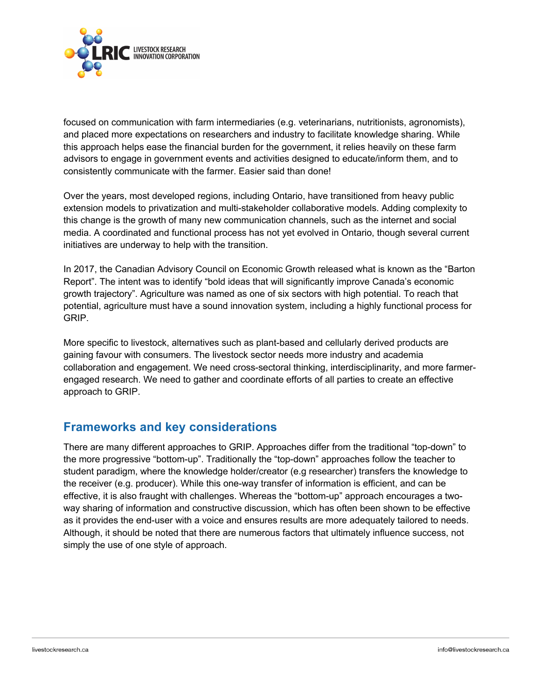

focused on communication with farm intermediaries (e.g. veterinarians, nutritionists, agronomists), and placed more expectations on researchers and industry to facilitate knowledge sharing. While this approach helps ease the financial burden for the government, it relies heavily on these farm advisors to engage in government events and activities designed to educate/inform them, and to consistently communicate with the farmer. Easier said than done!

Over the years, most developed regions, including Ontario, have transitioned from heavy public extension models to privatization and multi-stakeholder collaborative models. Adding complexity to this change is the growth of many new communication channels, such as the internet and social media. A coordinated and functional process has not yet evolved in Ontario, though several current initiatives are underway to help with the transition.

In 2017, the Canadian Advisory Council on Economic Growth released what is known as the "Barton Report". The intent was to identify "bold ideas that will significantly improve Canada's economic growth trajectory". Agriculture was named as one of six sectors with high potential. To reach that potential, agriculture must have a sound innovation system, including a highly functional process for GRIP.

More specific to livestock, alternatives such as plant-based and cellularly derived products are gaining favour with consumers. The livestock sector needs more industry and academia collaboration and engagement. We need cross-sectoral thinking, interdisciplinarity, and more farmerengaged research. We need to gather and coordinate efforts of all parties to create an effective approach to GRIP.

#### **Frameworks and key considerations**

There are many different approaches to GRIP. Approaches differ from the traditional "top-down" to the more progressive "bottom-up". Traditionally the "top-down" approaches follow the teacher to student paradigm, where the knowledge holder/creator (e.g researcher) transfers the knowledge to the receiver (e.g. producer). While this one-way transfer of information is efficient, and can be effective, it is also fraught with challenges. Whereas the "bottom-up" approach encourages a twoway sharing of information and constructive discussion, which has often been shown to be effective as it provides the end-user with a voice and ensures results are more adequately tailored to needs. Although, it should be noted that there are numerous factors that ultimately influence success, not simply the use of one style of approach.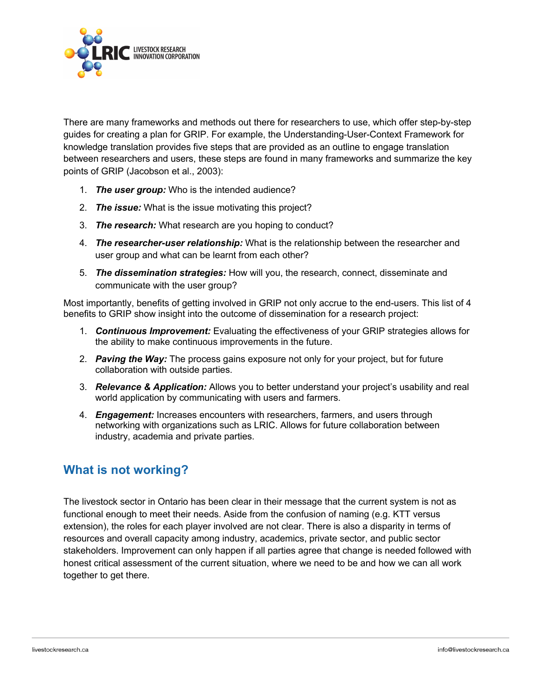

There are many frameworks and methods out there for researchers to use, which offer step-by-step guides for creating a plan for GRIP. For example, the Understanding-User-Context Framework for knowledge translation provides five steps that are provided as an outline to engage translation between researchers and users, these steps are found in many frameworks and summarize the key points of GRIP (Jacobson et al., 2003):

- 1. *The user group:* Who is the intended audience?
- 2. *The issue:* What is the issue motivating this project?
- 3. *The research:* What research are you hoping to conduct?
- 4. *The researcher-user relationship:* What is the relationship between the researcher and user group and what can be learnt from each other?
- 5. *The dissemination strategies:* How will you, the research, connect, disseminate and communicate with the user group?

Most importantly, benefits of getting involved in GRIP not only accrue to the end-users. This list of 4 benefits to GRIP show insight into the outcome of dissemination for a research project:

- 1. *Continuous Improvement:* Evaluating the effectiveness of your GRIP strategies allows for the ability to make continuous improvements in the future.
- 2. *Paving the Way:* The process gains exposure not only for your project, but for future collaboration with outside parties.
- 3. *Relevance & Application:* Allows you to better understand your project's usability and real world application by communicating with users and farmers.
- 4. *Engagement:* Increases encounters with researchers, farmers, and users through networking with organizations such as LRIC. Allows for future collaboration between industry, academia and private parties.

#### **What is not working?**

The livestock sector in Ontario has been clear in their message that the current system is not as functional enough to meet their needs. Aside from the confusion of naming (e.g. KTT versus extension), the roles for each player involved are not clear. There is also a disparity in terms of resources and overall capacity among industry, academics, private sector, and public sector stakeholders. Improvement can only happen if all parties agree that change is needed followed with honest critical assessment of the current situation, where we need to be and how we can all work together to get there.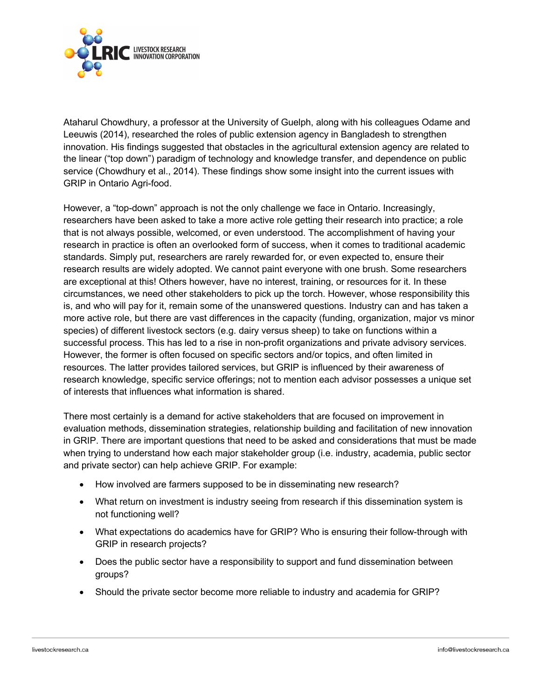

Ataharul Chowdhury, a professor at the University of Guelph, along with his colleagues Odame and Leeuwis (2014), researched the roles of public extension agency in Bangladesh to strengthen innovation. His findings suggested that obstacles in the agricultural extension agency are related to the linear ("top down") paradigm of technology and knowledge transfer, and dependence on public service (Chowdhury et al., 2014). These findings show some insight into the current issues with GRIP in Ontario Agri-food.

However, a "top-down" approach is not the only challenge we face in Ontario. Increasingly, researchers have been asked to take a more active role getting their research into practice; a role that is not always possible, welcomed, or even understood. The accomplishment of having your research in practice is often an overlooked form of success, when it comes to traditional academic standards. Simply put, researchers are rarely rewarded for, or even expected to, ensure their research results are widely adopted. We cannot paint everyone with one brush. Some researchers are exceptional at this! Others however, have no interest, training, or resources for it. In these circumstances, we need other stakeholders to pick up the torch. However, whose responsibility this is, and who will pay for it, remain some of the unanswered questions. Industry can and has taken a more active role, but there are vast differences in the capacity (funding, organization, major vs minor species) of different livestock sectors (e.g. dairy versus sheep) to take on functions within a successful process. This has led to a rise in non-profit organizations and private advisory services. However, the former is often focused on specific sectors and/or topics, and often limited in resources. The latter provides tailored services, but GRIP is influenced by their awareness of research knowledge, specific service offerings; not to mention each advisor possesses a unique set of interests that influences what information is shared.

There most certainly is a demand for active stakeholders that are focused on improvement in evaluation methods, dissemination strategies, relationship building and facilitation of new innovation in GRIP. There are important questions that need to be asked and considerations that must be made when trying to understand how each major stakeholder group (i.e. industry, academia, public sector and private sector) can help achieve GRIP. For example:

- How involved are farmers supposed to be in disseminating new research?
- What return on investment is industry seeing from research if this dissemination system is not functioning well?
- What expectations do academics have for GRIP? Who is ensuring their follow-through with GRIP in research projects?
- Does the public sector have a responsibility to support and fund dissemination between groups?
- Should the private sector become more reliable to industry and academia for GRIP?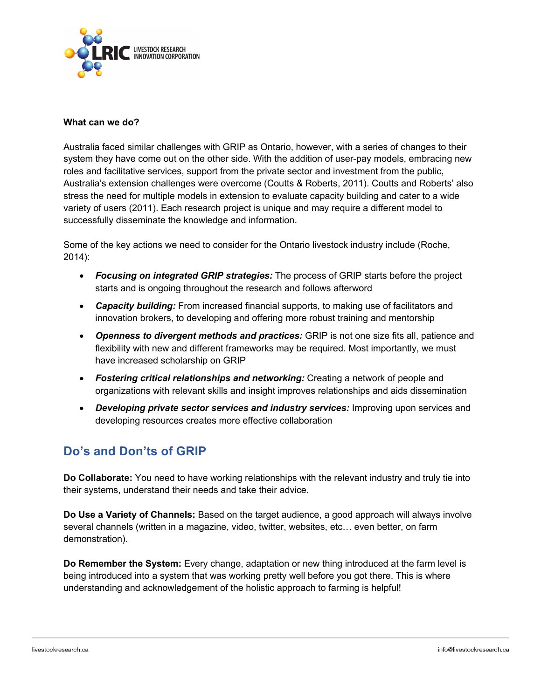

#### **What can we do?**

Australia faced similar challenges with GRIP as Ontario, however, with a series of changes to their system they have come out on the other side. With the addition of user-pay models, embracing new roles and facilitative services, support from the private sector and investment from the public, Australia's extension challenges were overcome (Coutts & Roberts, 2011). Coutts and Roberts' also stress the need for multiple models in extension to evaluate capacity building and cater to a wide variety of users (2011). Each research project is unique and may require a different model to successfully disseminate the knowledge and information.

Some of the key actions we need to consider for the Ontario livestock industry include (Roche, 2014):

- *Focusing on integrated GRIP strategies:* The process of GRIP starts before the project starts and is ongoing throughout the research and follows afterword
- *Capacity building:* From increased financial supports, to making use of facilitators and innovation brokers, to developing and offering more robust training and mentorship
- *Openness to divergent methods and practices:* GRIP is not one size fits all, patience and flexibility with new and different frameworks may be required. Most importantly, we must have increased scholarship on GRIP
- *Fostering critical relationships and networking:* Creating a network of people and organizations with relevant skills and insight improves relationships and aids dissemination
- *Developing private sector services and industry services:* Improving upon services and developing resources creates more effective collaboration

# **Do's and Don'ts of GRIP**

**Do Collaborate:** You need to have working relationships with the relevant industry and truly tie into their systems, understand their needs and take their advice.

**Do Use a Variety of Channels:** Based on the target audience, a good approach will always involve several channels (written in a magazine, video, twitter, websites, etc… even better, on farm demonstration).

**Do Remember the System:** Every change, adaptation or new thing introduced at the farm level is being introduced into a system that was working pretty well before you got there. This is where understanding and acknowledgement of the holistic approach to farming is helpful!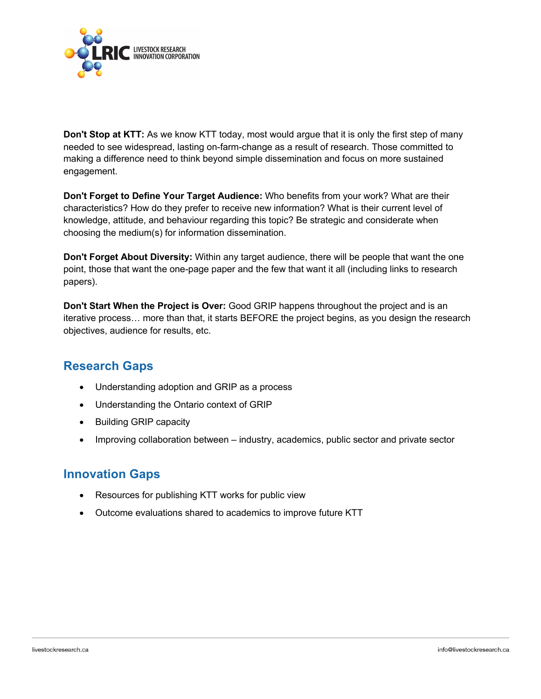

**Don't Stop at KTT:** As we know KTT today, most would argue that it is only the first step of many needed to see widespread, lasting on-farm-change as a result of research. Those committed to making a difference need to think beyond simple dissemination and focus on more sustained engagement.

**Don't Forget to Define Your Target Audience:** Who benefits from your work? What are their characteristics? How do they prefer to receive new information? What is their current level of knowledge, attitude, and behaviour regarding this topic? Be strategic and considerate when choosing the medium(s) for information dissemination.

**Don't Forget About Diversity:** Within any target audience, there will be people that want the one point, those that want the one-page paper and the few that want it all (including links to research papers).

**Don't Start When the Project is Over:** Good GRIP happens throughout the project and is an iterative process… more than that, it starts BEFORE the project begins, as you design the research objectives, audience for results, etc.

# **Research Gaps**

- Understanding adoption and GRIP as a process
- Understanding the Ontario context of GRIP
- Building GRIP capacity
- Improving collaboration between industry, academics, public sector and private sector

#### **Innovation Gaps**

- Resources for publishing KTT works for public view
- Outcome evaluations shared to academics to improve future KTT